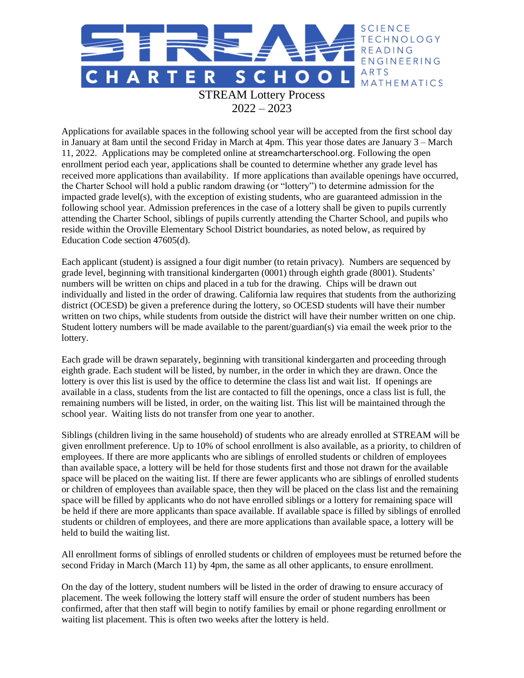

Applications for available spaces in the following school year will be accepted from the first school day in January at 8am until the second Friday in March at 4pm. This year those dates are January 3 – March 11, 2022. Applications may be completed online at streamcharterschool.org. Following the open enrollment period each year, applications shall be counted to determine whether any grade level has received more applications than availability. If more applications than available openings have occurred, the Charter School will hold a public random drawing (or "lottery") to determine admission for the impacted grade level(s), with the exception of existing students, who are guaranteed admission in the following school year. Admission preferences in the case of a lottery shall be given to pupils currently attending the Charter School, siblings of pupils currently attending the Charter School, and pupils who reside within the Oroville Elementary School District boundaries, as noted below, as required by Education Code section 47605(d).

Each applicant (student) is assigned a four digit number (to retain privacy). Numbers are sequenced by grade level, beginning with transitional kindergarten (0001) through eighth grade (8001). Students' numbers will be written on chips and placed in a tub for the drawing. Chips will be drawn out individually and listed in the order of drawing. California law requires that students from the authorizing district (OCESD) be given a preference during the lottery, so OCESD students will have their number written on two chips, while students from outside the district will have their number written on one chip. Student lottery numbers will be made available to the parent/guardian(s) via email the week prior to the lottery.

Each grade will be drawn separately, beginning with transitional kindergarten and proceeding through eighth grade. Each student will be listed, by number, in the order in which they are drawn. Once the lottery is over this list is used by the office to determine the class list and wait list. If openings are available in a class, students from the list are contacted to fill the openings, once a class list is full, the remaining numbers will be listed, in order, on the waiting list. This list will be maintained through the school year. Waiting lists do not transfer from one year to another.

Siblings (children living in the same household) of students who are already enrolled at STREAM will be given enrollment preference. Up to 10% of school enrollment is also available, as a priority, to children of employees. If there are more applicants who are siblings of enrolled students or children of employees than available space, a lottery will be held for those students first and those not drawn for the available space will be placed on the waiting list. If there are fewer applicants who are siblings of enrolled students or children of employees than available space, then they will be placed on the class list and the remaining space will be filled by applicants who do not have enrolled siblings or a lottery for remaining space will be held if there are more applicants than space available. If available space is filled by siblings of enrolled students or children of employees, and there are more applications than available space, a lottery will be held to build the waiting list.

All enrollment forms of siblings of enrolled students or children of employees must be returned before the second Friday in March (March 11) by 4pm, the same as all other applicants, to ensure enrollment.

On the day of the lottery, student numbers will be listed in the order of drawing to ensure accuracy of placement. The week following the lottery staff will ensure the order of student numbers has been confirmed, after that then staff will begin to notify families by email or phone regarding enrollment or waiting list placement. This is often two weeks after the lottery is held.